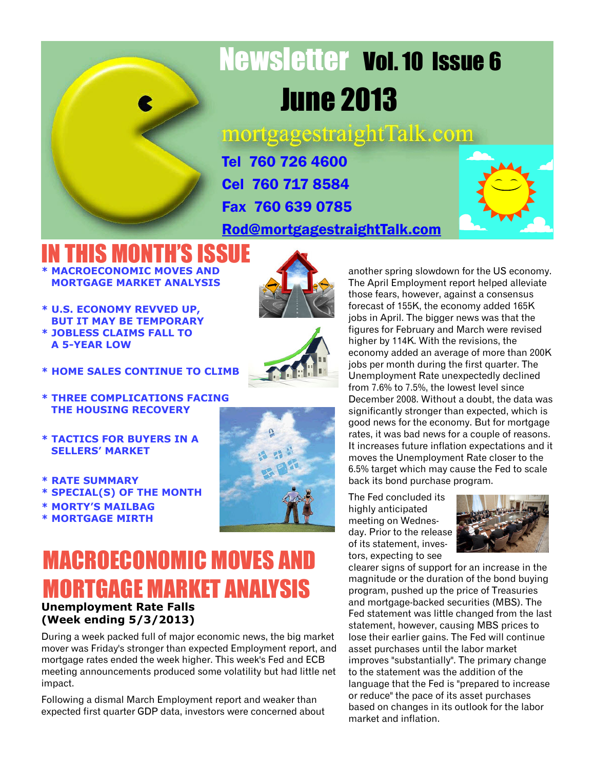# Newsletter Vol. 10 Issue 6 June 2013

mortgagestraightTalk.com

Tel 760 726 4600 Cel 760 717 8584 Fax 760 639 0785

[Rod@mortgagestraightTalk.com](mailto:Rod@MortgageStraightTalk.com)



IN THIS MONTH'S ISSUE **\* MACROECONOMIC MOVES AND MORTGAGE MARKET ANALYSIS**

**\* U.S. ECONOMY REVVED UP, BUT IT MAY BE TEMPORARY \* JOBLESS CLAIMS FALL TO A 5-YEAR LOW**





**\* HOME SALES CONTINUE TO CLIMB**

**\* THREE COMPLICATIONS FACING THE HOUSING RECOVERY**

- **\* TACTICS FOR BUYERS IN A SELLERS' MARKET**
- **\* RATE SUMMARY**
- **\* SPECIAL(S) OF THE MONTH**
- **\* MORTY'S MAILBAG**
- **\* MORTGAGE MIRTH**



### **Unemployment Rate Falls (Week ending 5/3/2013)** MACROECONOMIC MOVES AND MORTGAGE MARKET ANALYSIS

During a week packed full of major economic news, the big market mover was Friday's stronger than expected Employment report, and mortgage rates ended the week higher. This week's Fed and ECB meeting announcements produced some volatility but had little net impact.

Following a dismal March Employment report and weaker than expected first quarter GDP data, investors were concerned about

another spring slowdown for the US economy. The April Employment report helped alleviate those fears, however, against a consensus forecast of 155K, the economy added 165K jobs in April. The bigger news was that the figures for February and March were revised higher by 114K. With the revisions, the economy added an average of more than 200K jobs per month during the first quarter. The Unemployment Rate unexpectedly declined from 7.6% to 7.5%, the lowest level since December 2008. Without a doubt, the data was significantly stronger than expected, which is good news for the economy. But for mortgage rates, it was bad news for a couple of reasons. It increases future inflation expectations and it moves the Unemployment Rate closer to the 6.5% target which may cause the Fed to scale back its bond purchase program.

The Fed concluded its highly anticipated meeting on Wednesday. Prior to the release of its statement, investors, expecting to see



clearer signs of support for an increase in the magnitude or the duration of the bond buying program, pushed up the price of Treasuries and mortgage-backed securities (MBS). The Fed statement was little changed from the last statement, however, causing MBS prices to lose their earlier gains. The Fed will continue asset purchases until the labor market improves "substantially". The primary change to the statement was the addition of the language that the Fed is "prepared to increase or reduce" the pace of its asset purchases based on changes in its outlook for the labor market and inflation.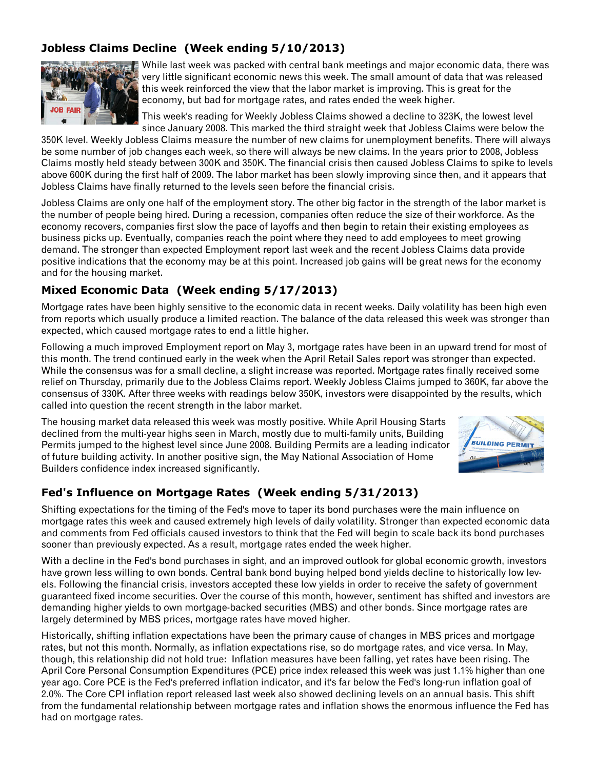#### **Jobless Claims Decline (Week ending 5/10/2013)**



While last week was packed with central bank meetings and major economic data, there was very little significant economic news this week. The small amount of data that was released this week reinforced the view that the labor market is improving. This is great for the economy, but bad for mortgage rates, and rates ended the week higher.

This week's reading for Weekly Jobless Claims showed a decline to 323K, the lowest level since January 2008. This marked the third straight week that Jobless Claims were below the

350K level. Weekly Jobless Claims measure the number of new claims for unemployment benefits. There will always be some number of job changes each week, so there will always be new claims. In the years prior to 2008, Jobless Claims mostly held steady between 300K and 350K. The financial crisis then caused Jobless Claims to spike to levels above 600K during the first half of 2009. The labor market has been slowly improving since then, and it appears that Jobless Claims have finally returned to the levels seen before the financial crisis.

Jobless Claims are only one half of the employment story. The other big factor in the strength of the labor market is the number of people being hired. During a recession, companies often reduce the size of their workforce. As the economy recovers, companies first slow the pace of layoffs and then begin to retain their existing employees as business picks up. Eventually, companies reach the point where they need to add employees to meet growing demand. The stronger than expected Employment report last week and the recent Jobless Claims data provide positive indications that the economy may be at this point. Increased job gains will be great news for the economy and for the housing market.

#### **Mixed Economic Data (Week ending 5/17/2013)**

Mortgage rates have been highly sensitive to the economic data in recent weeks. Daily volatility has been high even from reports which usually produce a limited reaction. The balance of the data released this week was stronger than expected, which caused mortgage rates to end a little higher.

Following a much improved Employment report on May 3, mortgage rates have been in an upward trend for most of this month. The trend continued early in the week when the April Retail Sales report was stronger than expected. While the consensus was for a small decline, a slight increase was reported. Mortgage rates finally received some relief on Thursday, primarily due to the Jobless Claims report. Weekly Jobless Claims jumped to 360K, far above the consensus of 330K. After three weeks with readings below 350K, investors were disappointed by the results, which called into question the recent strength in the labor market.

The housing market data released this week was mostly positive. While April Housing Starts declined from the multi-year highs seen in March, mostly due to multi-family units, Building Permits jumped to the highest level since June 2008. Building Permits are a leading indicator of future building activity. In another positive sign, the May National Association of Home Builders confidence index increased significantly.



#### **Fed's Influence on Mortgage Rates (Week ending 5/31/2013)**

Shifting expectations for the timing of the Fed's move to taper its bond purchases were the main influence on mortgage rates this week and caused extremely high levels of daily volatility. Stronger than expected economic data and comments from Fed officials caused investors to think that the Fed will begin to scale back its bond purchases sooner than previously expected. As a result, mortgage rates ended the week higher.

With a decline in the Fed's bond purchases in sight, and an improved outlook for global economic growth, investors have grown less willing to own bonds. Central bank bond buying helped bond yields decline to historically low levels. Following the financial crisis, investors accepted these low yields in order to receive the safety of government guaranteed fixed income securities. Over the course of this month, however, sentiment has shifted and investors are demanding higher yields to own mortgage-backed securities (MBS) and other bonds. Since mortgage rates are largely determined by MBS prices, mortgage rates have moved higher.

Historically, shifting inflation expectations have been the primary cause of changes in MBS prices and mortgage rates, but not this month. Normally, as inflation expectations rise, so do mortgage rates, and vice versa. In May, though, this relationship did not hold true: Inflation measures have been falling, yet rates have been rising. The April Core Personal Consumption Expenditures (PCE) price index released this week was just 1.1% higher than one year ago. Core PCE is the Fed's preferred inflation indicator, and it's far below the Fed's long-run inflation goal of 2.0%. The Core CPI inflation report released last week also showed declining levels on an annual basis. This shift from the fundamental relationship between mortgage rates and inflation shows the enormous influence the Fed has had on mortgage rates.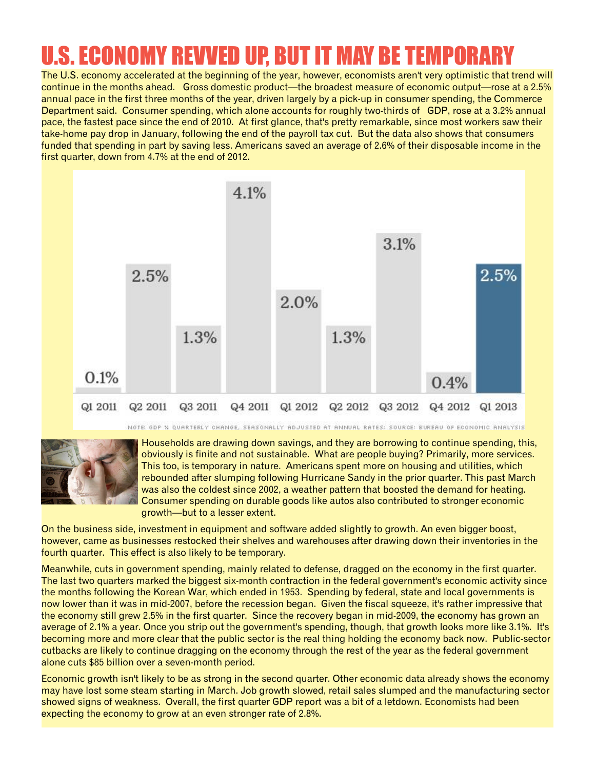### U.S. ECONOMY REVVED UP, BUT IT MAY BE TEMPORARY

The U.S. economy accelerated at the beginning of the year, however, economists aren't very optimistic that trend will continue in the months ahead. Gross domestic product—the broadest measure of economic output—rose at a 2.5% annual pace in the first three months of the year, driven largely by a pick-up in consumer spending, the Commerce Department said. Consumer spending, which alone accounts for roughly two-thirds of GDP, rose at a 3.2% annual pace, the fastest pace since the end of 2010. At first glance, that's pretty remarkable, since most workers saw their take-home pay drop in January, following the end of the payroll tax cut. But the data also shows that consumers funded that spending in part by saving less. Americans saved an average of 2.6% of their disposable income in the first quarter, down from 4.7% at the end of 2012.





Households are drawing down savings, and they are borrowing to continue spending, this, obviously is finite and not sustainable. What are people buying? Primarily, more services. This too, is temporary in nature. Americans spent more on housing and utilities, which rebounded after slumping following Hurricane Sandy in the prior quarter. This past March was also the coldest since 2002, a weather pattern that boosted the demand for heating. Consumer spending on durable goods like autos also contributed to stronger economic growth—but to a lesser extent.

On the business side, investment in equipment and software added slightly to growth. An even bigger boost, however, came as businesses restocked their shelves and warehouses after drawing down their inventories in the fourth quarter. This effect is also likely to be temporary.

Meanwhile, cuts in government spending, mainly related to defense, dragged on the economy in the first quarter. The last two quarters marked the biggest six-month contraction in the federal government's economic activity since the months following the Korean War, which ended in 1953. Spending by federal, state and local governments is now lower than it was in mid-2007, before the recession began. Given the fiscal squeeze, it's rather impressive that the economy still grew 2.5% in the first quarter. Since the recovery began in mid-2009, the economy has grown an average of 2.1% a year. Once you strip out the government's spending, though, that growth looks more like 3.1%. It's becoming more and more clear that the public sector is the real thing holding the economy back now. Public-sector cutbacks are likely to continue dragging on the economy through the rest of the year as the federal government alone cuts \$85 billion over a seven-month period.

Economic growth isn't likely to be as strong in the second quarter. Other economic data already shows the economy may have lost some steam starting in March. Job growth slowed, retail sales slumped and the manufacturing sector showed signs of weakness. Overall, the first quarter GDP report was a bit of a letdown. Economists had been expecting the economy to grow at an even stronger rate of 2.8%.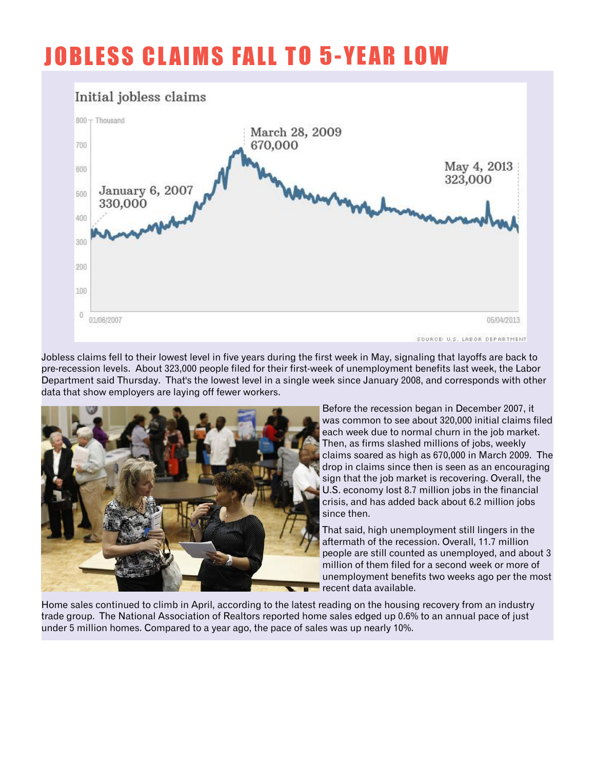### **JOBLESS CLAIMS FALL TO 5-YEAR LOW**



Jobless claims fell to their lowest level in five years during the first week in May, signaling that layoffs are back to pre-recession levels. About 323,000 people filed for their first-week of unemployment benefits last week, the Labor Department said Thursday. That's the lowest level in a single week since January 2008, and corresponds with other data that show employers are laying off fewer workers.



Before the recession began in December 2007, it was common to see about 320,000 initial claims filed each week due to normal churn in the job market. Then, as firms slashed millions of jobs, weekly claims soared as high as 670,000 in March 2009. The drop in claims since then is seen as an encouraging sign that the job market is recovering. Overall, the U.S. economy lost 8.7 million jobs in the financial crisis, and has added back about 6.2 million jobs since then.

That said, high unemployment still lingers in the aftermath of the recession. Overall, 11.7 million people are still counted as unemployed, and about 3 million of them filed for a second week or more of unemployment benefits two weeks ago per the most **F** recent data available.

Home sales continued to climb in April, according to the latest reading on the housing recovery from an industry trade group. The National Association of Realtors reported home sales edged up 0.6% to an annual pace of just under 5 million homes. Compared to a year ago, the pace of sales was up nearly 10%.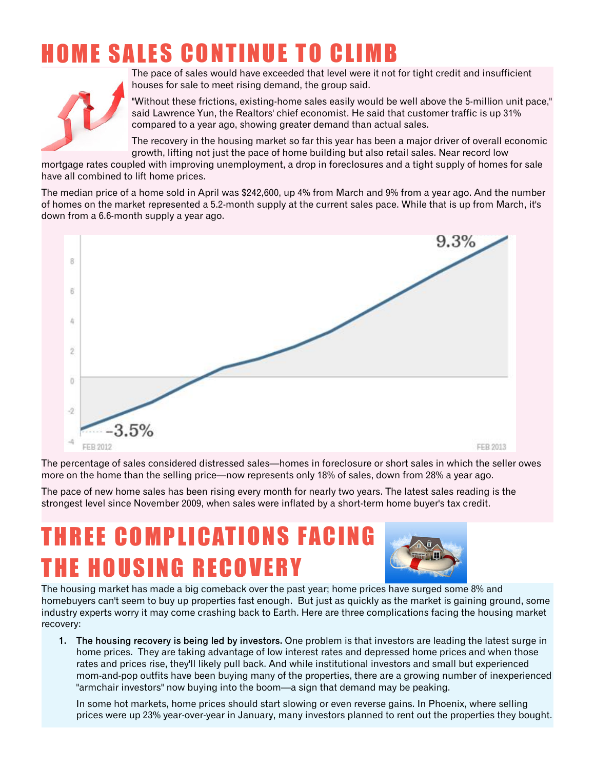### **HOME SALES CONTINUE TO CLIMB**



The pace of sales would have exceeded that level were it not for tight credit and insufficient houses for sale to meet rising demand, the group said.

"Without these frictions, existing-home sales easily would be well above the 5-million unit pace," said Lawrence Yun, the Realtors' chief economist. He said that customer traffic is up 31% compared to a year ago, showing greater demand than actual sales.

The recovery in the housing market so far this year has been a major driver of overall economic growth, lifting not just the pace of home building but also retail sales. Near record low

mortgage rates coupled with improving unemployment, a drop in foreclosures and a tight supply of homes for sale have all combined to lift home prices.

The median price of a home sold in April was \$242,600, up 4% from March and 9% from a year ago. And the number of homes on the market represented a 5.2-month supply at the current sales pace. While that is up from March, it's down from a 6.6-month supply a year ago.



The percentage of sales considered distressed sales—homes in foreclosure or short sales in which the seller owes more on the home than the selling price—now represents only 18% of sales, down from 28% a year ago.

The pace of new home sales has been rising every month for nearly two years. The latest sales reading is the strongest level since November 2009, when sales were inflated by a short-term home buyer's tax credit.

### **THREE COMPLICATIONS FACING** THE HOUSING RECOVERY



The housing market has made a big comeback over the past year; home prices have surged some 8% and homebuyers can't seem to buy up properties fast enough. But just as quickly as the market is gaining ground, some industry experts worry it may come crashing back to Earth. Here are three complications facing the housing market recovery:

1. The housing recovery is being led by investors. One problem is that investors are leading the latest surge in home prices. They are taking advantage of low interest rates and depressed home prices and when those rates and prices rise, they'll likely pull back. And while institutional investors and small but experienced mom-and-pop outfits have been buying many of the properties, there are a growing number of inexperienced "armchair investors" now buying into the boom—a sign that demand may be peaking.

In some hot markets, home prices should start slowing or even reverse gains. In Phoenix, where selling prices were up 23% year-over-year in January, many investors planned to rent out the properties they bought.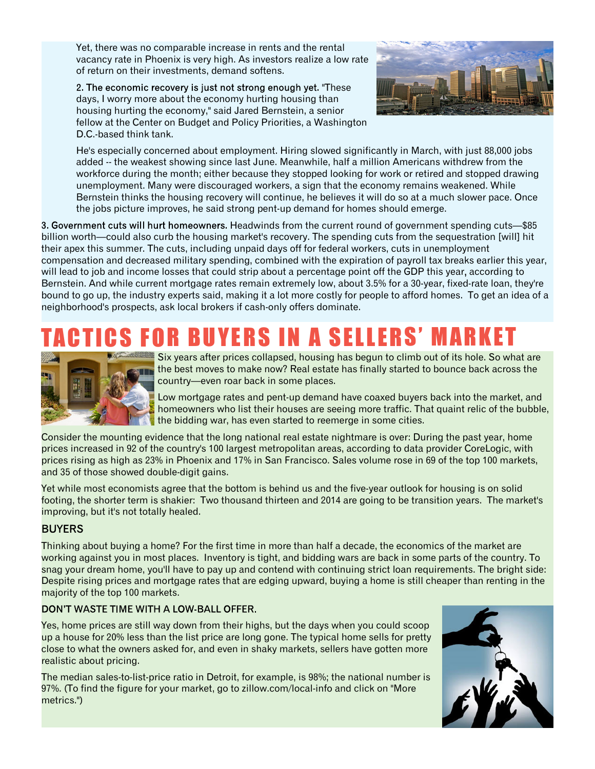Yet, there was no comparable increase in rents and the rental vacancy rate in Phoenix is very high. As investors realize a low rate of return on their investments, demand softens.

2. The economic recovery is just not strong enough yet. "These days, I worry more about the economy hurting housing than housing hurting the economy," said Jared Bernstein, a senior fellow at the Center on Budget and Policy Priorities, a Washington D.C.-based think tank.



He's especially concerned about employment. Hiring slowed significantly in March, with just 88,000 jobs added -- the weakest showing since last June. Meanwhile, half a million Americans withdrew from the workforce during the month; either because they stopped looking for work or retired and stopped drawing unemployment. Many were discouraged workers, a sign that the economy remains weakened. While Bernstein thinks the housing recovery will continue, he believes it will do so at a much slower pace. Once the jobs picture improves, he said strong pent-up demand for homes should emerge.

3. Government cuts will hurt homeowners. Headwinds from the current round of government spending cuts—\$85 billion worth—could also curb the housing market's recovery. The spending cuts from the sequestration [will] hit their apex this summer. The cuts, including unpaid days off for federal workers, cuts in unemployment compensation and decreased military spending, combined with the expiration of payroll tax breaks earlier this year, will lead to job and income losses that could strip about a percentage point off the GDP this year, according to Bernstein. And while current mortgage rates remain extremely low, about 3.5% for a 30-year, fixed-rate loan, they're bound to go up, the industry experts said, making it a lot more costly for people to afford homes. To get an idea of a neighborhood's prospects, ask local brokers if cash-only offers dominate.

### YERS IN A SELLERS' MA



Six years after prices collapsed, housing has begun to climb out of its hole. So what are the best moves to make now? Real estate has finally started to bounce back across the country—even roar back in some places.

Low mortgage rates and pent-up demand have coaxed buyers back into the market, and homeowners who list their houses are seeing more traffic. That quaint relic of the bubble, the bidding war, has even started to reemerge in some cities.

Consider the mounting evidence that the long national real estate nightmare is over: During the past year, home prices increased in 92 of the country's 100 largest metropolitan areas, according to data provider CoreLogic, with prices rising as high as 23% in Phoenix and 17% in San Francisco. Sales volume rose in 69 of the top 100 markets, and 35 of those showed double-digit gains.

Yet while most economists agree that the bottom is behind us and the five-year outlook for housing is on solid footing, the shorter term is shakier: Two thousand thirteen and 2014 are going to be transition years. The market's improving, but it's not totally healed.

#### **BUYERS**

Thinking about buying a home? For the first time in more than half a decade, the economics of the market are working against you in most places. Inventory is tight, and bidding wars are back in some parts of the country. To snag your dream home, you'll have to pay up and contend with continuing strict loan requirements. The bright side: Despite rising prices and mortgage rates that are edging upward, buying a home is still cheaper than renting in the majority of the top 100 markets.

#### DON'T WASTE TIME WITH A LOW-BALL OFFER.

Yes, home prices are still way down from their highs, but the days when you could scoop up a house for 20% less than the list price are long gone. The typical home sells for pretty close to what the owners asked for, and even in shaky markets, sellers have gotten more realistic about pricing.

The median sales-to-list-price ratio in Detroit, for example, is 98%; the national number is 97%. (To find the figure for your market, go to zillow.com/local-info and click on "More metrics.")

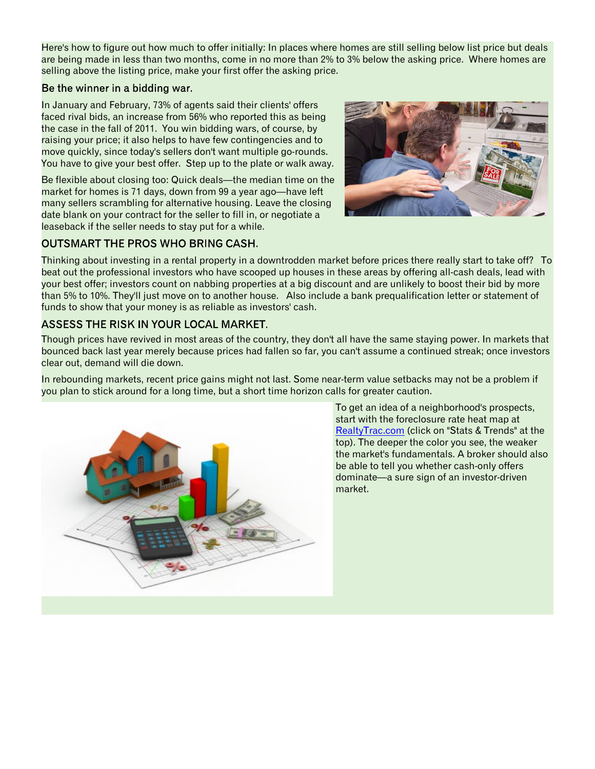Here's how to figure out how much to offer initially: In places where homes are still selling below list price but deals are being made in less than two months, come in no more than 2% to 3% below the asking price. Where homes are selling above the listing price, make your first offer the asking price.

#### Be the winner in a bidding war.

In January and February, 73% of agents said their clients' offers faced rival bids, an increase from 56% who reported this as being the case in the fall of 2011. You win bidding wars, of course, by raising your price; it also helps to have few contingencies and to move quickly, since today's sellers don't want multiple go-rounds. You have to give your best offer. Step up to the plate or walk away.

Be flexible about closing too: Quick deals—the median time on the market for homes is 71 days, down from 99 a year ago—have left many sellers scrambling for alternative housing. Leave the closing date blank on your contract for the seller to fill in, or negotiate a leaseback if the seller needs to stay put for a while.



#### **OUTSMART THE PROS WHO BRING CASH.**

Thinking about investing in a rental property in a downtrodden market before prices there really start to take off? To beat out the professional investors who have scooped up houses in these areas by offering all-cash deals, lead with your best offer; investors count on nabbing properties at a big discount and are unlikely to boost their bid by more than 5% to 10%. They'll just move on to another house. Also include a bank prequalification letter or statement of funds to show that your money is as reliable as investors' cash.

#### **ASSESS THE RISK IN YOUR LOCAL MARKET.**

Though prices have revived in most areas of the country, they don't all have the same staying power. In markets that bounced back last year merely because prices had fallen so far, you can't assume a continued streak; once investors clear out, demand will die down.

In rebounding markets, recent price gains might not last. Some near-term value setbacks may not be a problem if you plan to stick around for a long time, but a short time horizon calls for greater caution.



To get an idea of a neighborhood's prospects, start with the foreclosure rate heat map at [RealtyTrac.com](http://RealtyTrac.com) (click on "Stats & Trends" at the top). The deeper the color you see, the weaker the market's fundamentals. A broker should also be able to tell you whether cash-only offers dominate—a sure sign of an investor-driven market.